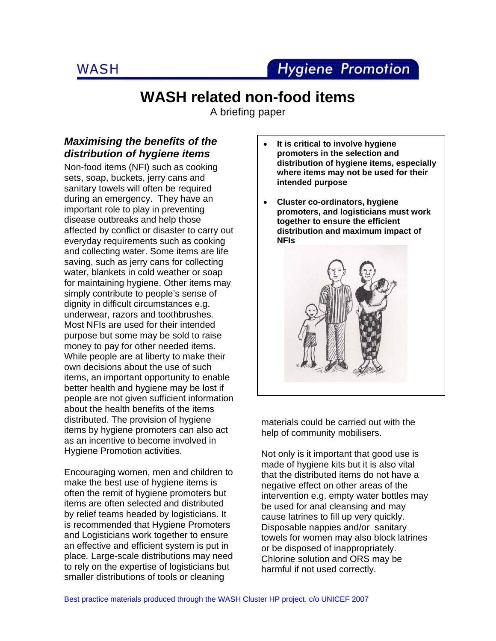

# **WASH related non-food items**

A briefing paper

# *Maximising the benefits of the distribution of hygiene items*

Non-food items (NFI) such as cooking sets, soap, buckets, jerry cans and sanitary towels will often be required during an emergency. They have an important role to play in preventing disease outbreaks and help those affected by conflict or disaster to carry out everyday requirements such as cooking and collecting water. Some items are life saving, such as jerry cans for collecting water, blankets in cold weather or soap for maintaining hygiene. Other items may simply contribute to people's sense of dignity in difficult circumstances e.g. underwear, razors and toothbrushes. Most NFIs are used for their intended purpose but some may be sold to raise money to pay for other needed items. While people are at liberty to make their own decisions about the use of such items, an important opportunity to enable better health and hygiene may be lost if people are not given sufficient information about the health benefits of the items distributed. The provision of hygiene items by hygiene promoters can also act as an incentive to become involved in Hygiene Promotion activities.

Encouraging women, men and children to make the best use of hygiene items is often the remit of hygiene promoters but items are often selected and distributed by relief teams headed by logisticians. It is recommended that Hygiene Promoters and Logisticians work together to ensure an effective and efficient system is put in place*.* Large-scale distributions may need to rely on the expertise of logisticians but smaller distributions of tools or cleaning

- **It is critical to involve hygiene promoters in the selection and distribution of hygiene items, especially where items may not be used for their intended purpose**
- **Cluster co-ordinators, hygiene promoters, and logisticians must work together to ensure the efficient distribution and maximum impact of NFIs**



materials could be carried out with the help of community mobilisers.

Not only is it important that good use is made of hygiene kits but it is also vital that the distributed items do not have a negative effect on other areas of the intervention e.g. empty water bottles may be used for anal cleansing and may cause latrines to fill up very quickly. Disposable nappies and/or sanitary towels for women may also block latrines or be disposed of inappropriately. Chlorine solution and ORS may be harmful if not used correctly.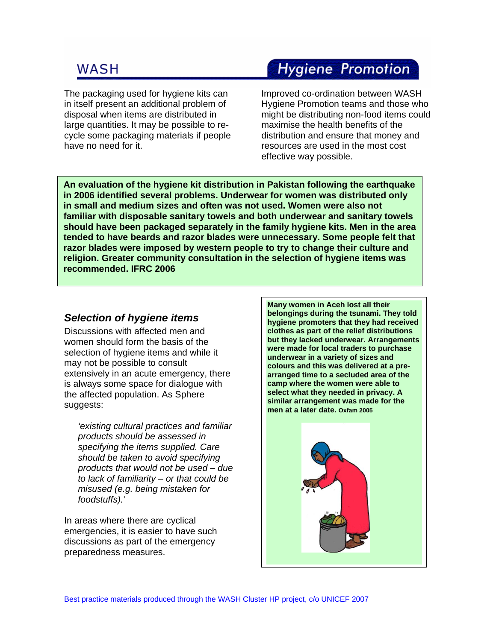The packaging used for hygiene kits can in itself present an additional problem of disposal when items are distributed in large quantities. It may be possible to recycle some packaging materials if people have no need for it.

# **Hygiene Promotion**

Improved co-ordination between WASH Hygiene Promotion teams and those who might be distributing non-food items could maximise the health benefits of the distribution and ensure that money and resources are used in the most cost effective way possible.

**An evaluation of the hygiene kit distribution in Pakistan following the earthquake in 2006 identified several problems. Underwear for women was distributed only in small and medium sizes and often was not used. Women were also not familiar with disposable sanitary towels and both underwear and sanitary towels should have been packaged separately in the family hygiene kits. Men in the area tended to have beards and razor blades were unnecessary. Some people felt that razor blades were imposed by western people to try to change their culture and religion. Greater community consultation in the selection of hygiene items was recommended. IFRC 2006** 

## *Selection of hygiene items*

Discussions with affected men and women should form the basis of the selection of hygiene items and while it may not be possible to consult extensively in an acute emergency, there is always some space for dialogue with the affected population. As Sphere suggests:

*'existing cultural practices and familiar products should be assessed in specifying the items supplied. Care should be taken to avoid specifying products that would not be used – due to lack of familiarity – or that could be misused (e.g. being mistaken for foodstuffs).'* 

In areas where there are cyclical emergencies, it is easier to have such discussions as part of the emergency preparedness measures.

**Many women in Aceh lost all their belongings during the tsunami. They told hygiene promoters that they had received clothes as part of the relief distributions but they lacked underwear. Arrangements were made for local traders to purchase underwear in a variety of sizes and colours and this was delivered at a prearranged time to a secluded area of the camp where the women were able to select what they needed in privacy. A similar arrangement was made for the men at a later date. Oxfam 2005** 

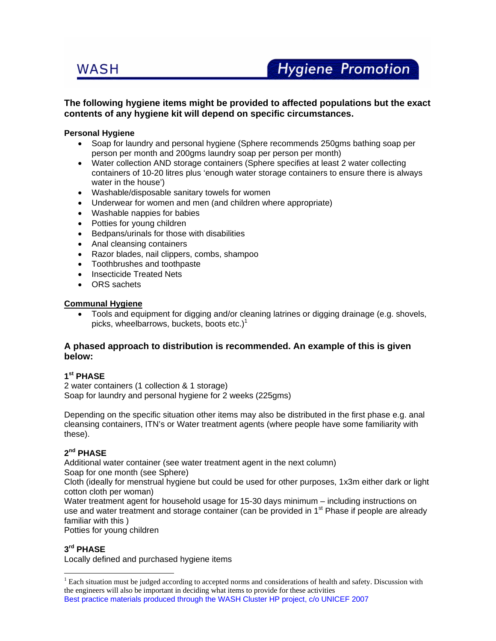### **The following hygiene items might be provided to affected populations but the exact contents of any hygiene kit will depend on specific circumstances.**

#### **Personal Hygiene**

- Soap for laundry and personal hygiene (Sphere recommends 250gms bathing soap per person per month and 200gms laundry soap per person per month)
- Water collection AND storage containers (Sphere specifies at least 2 water collecting containers of 10-20 litres plus 'enough water storage containers to ensure there is always water in the house')
- Washable/disposable sanitary towels for women
- Underwear for women and men (and children where appropriate)
- Washable nappies for babies
- Potties for young children
- Bedpans/urinals for those with disabilities
- Anal cleansing containers
- Razor blades, nail clippers, combs, shampoo
- Toothbrushes and toothpaste
- Insecticide Treated Nets
- ORS sachets

#### **Communal Hygiene**

• Tools and equipment for digging and/or cleaning latrines or digging drainage (e.g. shovels, picks, wheelbarrows, buckets, boots  $etc.$ )<sup>1</sup>

### **A phased approach to distribution is recommended. An example of this is given below:**

### **1st PHASE**

2 water containers (1 collection & 1 storage) Soap for laundry and personal hygiene for 2 weeks (225gms)

Depending on the specific situation other items may also be distributed in the first phase e.g. anal cleansing containers, ITN's or Water treatment agents (where people have some familiarity with these).

### **2nd PHASE**

Additional water container (see water treatment agent in the next column)

Soap for one month (see Sphere)

Cloth (ideally for menstrual hygiene but could be used for other purposes, 1x3m either dark or light cotton cloth per woman)

Water treatment agent for household usage for 15-30 days minimum – including instructions on use and water treatment and storage container (can be provided in  $1<sup>st</sup>$  Phase if people are already familiar with this )

Potties for young children

## **3rd PHASE**

 $\overline{a}$ 

Locally defined and purchased hygiene items

Best practice materials produced through the WASH Cluster HP project, c/o UNICEF 2007 <sup>1</sup> Each situation must be judged according to accepted norms and considerations of health and safety. Discussion with the engineers will also be important in deciding what items to provide for these activities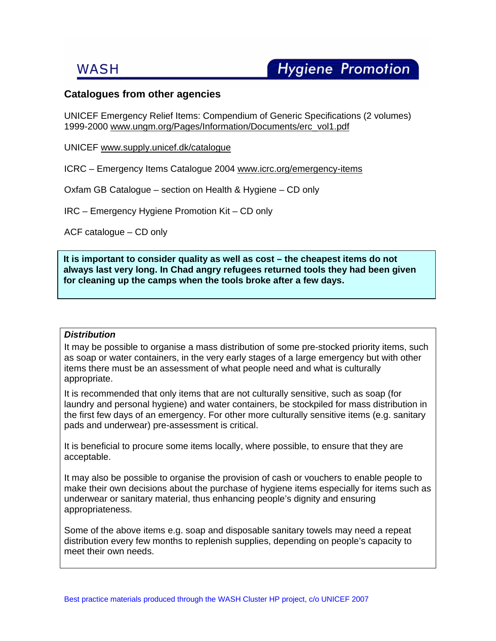## **Catalogues from other agencies**

UNICEF Emergency Relief Items: Compendium of Generic Specifications (2 volumes) 1999-2000 www.ungm.org/Pages/Information/Documents/erc\_vol1.pdf

UNICEF www.supply.unicef.dk/catalogue

ICRC – Emergency Items Catalogue 2004 www.icrc.org/emergency-items

Oxfam GB Catalogue – section on Health & Hygiene – CD only

IRC – Emergency Hygiene Promotion Kit – CD only

ACF catalogue – CD only

**It is important to consider quality as well as cost – the cheapest items do not always last very long. In Chad angry refugees returned tools they had been given for cleaning up the camps when the tools broke after a few days.**

#### *Distribution*

It may be possible to organise a mass distribution of some pre-stocked priority items, such as soap or water containers, in the very early stages of a large emergency but with other items there must be an assessment of what people need and what is culturally appropriate.

It is recommended that only items that are not culturally sensitive, such as soap (for laundry and personal hygiene) and water containers, be stockpiled for mass distribution in the first few days of an emergency. For other more culturally sensitive items (e.g. sanitary pads and underwear) pre-assessment is critical.

It is beneficial to procure some items locally, where possible, to ensure that they are acceptable.

It may also be possible to organise the provision of cash or vouchers to enable people to make their own decisions about the purchase of hygiene items especially for items such as underwear or sanitary material, thus enhancing people's dignity and ensuring appropriateness.

Some of the above items e.g. soap and disposable sanitary towels may need a repeat distribution every few months to replenish supplies, depending on people's capacity to meet their own needs.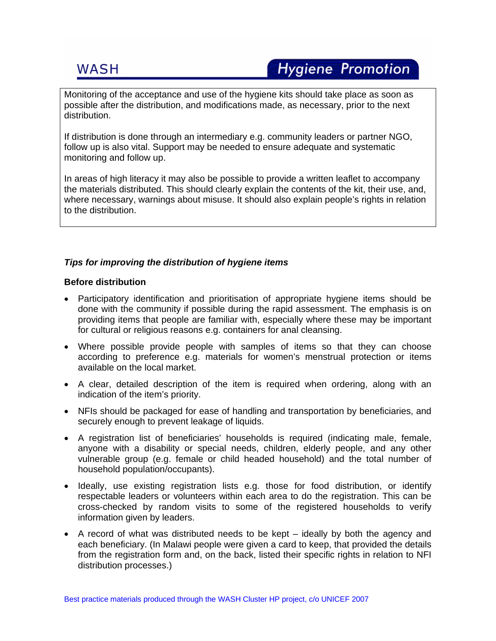# **Hygiene Promotion**

Monitoring of the acceptance and use of the hygiene kits should take place as soon as possible after the distribution, and modifications made, as necessary, prior to the next distribution.

If distribution is done through an intermediary e.g. community leaders or partner NGO, follow up is also vital. Support may be needed to ensure adequate and systematic monitoring and follow up.

In areas of high literacy it may also be possible to provide a written leaflet to accompany the materials distributed. This should clearly explain the contents of the kit, their use, and, where necessary, warnings about misuse. It should also explain people's rights in relation to the distribution.

## *Tips for improving the distribution of hygiene items*

### **Before distribution**

- Participatory identification and prioritisation of appropriate hygiene items should be done with the community if possible during the rapid assessment. The emphasis is on providing items that people are familiar with, especially where these may be important for cultural or religious reasons e.g. containers for anal cleansing.
- Where possible provide people with samples of items so that they can choose according to preference e.g. materials for women's menstrual protection or items available on the local market.
- A clear, detailed description of the item is required when ordering, along with an indication of the item's priority.
- NFIs should be packaged for ease of handling and transportation by beneficiaries, and securely enough to prevent leakage of liquids.
- A registration list of beneficiaries' households is required (indicating male, female, anyone with a disability or special needs, children, elderly people, and any other vulnerable group (e.g. female or child headed household) and the total number of household population/occupants).
- Ideally, use existing registration lists e.g. those for food distribution, or identify respectable leaders or volunteers within each area to do the registration. This can be cross-checked by random visits to some of the registered households to verify information given by leaders.
- A record of what was distributed needs to be kept ideally by both the agency and each beneficiary. (In Malawi people were given a card to keep, that provided the details from the registration form and, on the back, listed their specific rights in relation to NFI distribution processes.)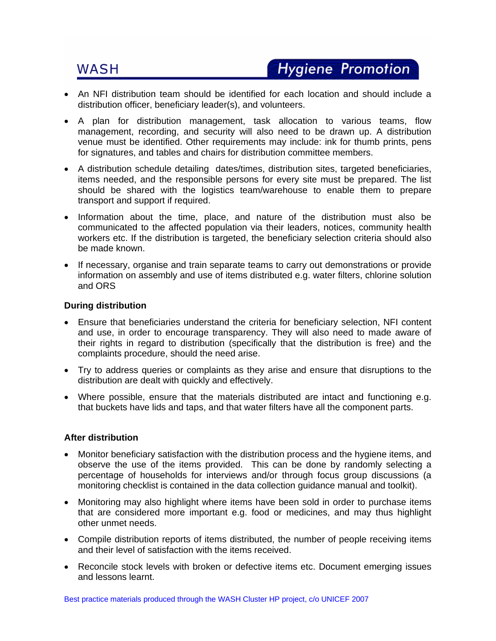- An NFI distribution team should be identified for each location and should include a distribution officer, beneficiary leader(s), and volunteers.
- A plan for distribution management, task allocation to various teams, flow management, recording, and security will also need to be drawn up. A distribution venue must be identified. Other requirements may include: ink for thumb prints, pens for signatures, and tables and chairs for distribution committee members.
- A distribution schedule detailing dates/times, distribution sites, targeted beneficiaries, items needed, and the responsible persons for every site must be prepared. The list should be shared with the logistics team/warehouse to enable them to prepare transport and support if required.
- Information about the time, place, and nature of the distribution must also be communicated to the affected population via their leaders, notices, community health workers etc. If the distribution is targeted, the beneficiary selection criteria should also be made known.
- If necessary, organise and train separate teams to carry out demonstrations or provide information on assembly and use of items distributed e.g. water filters, chlorine solution and ORS

### **During distribution**

- Ensure that beneficiaries understand the criteria for beneficiary selection, NFI content and use, in order to encourage transparency. They will also need to made aware of their rights in regard to distribution (specifically that the distribution is free) and the complaints procedure, should the need arise.
- Try to address queries or complaints as they arise and ensure that disruptions to the distribution are dealt with quickly and effectively.
- Where possible, ensure that the materials distributed are intact and functioning e.g. that buckets have lids and taps, and that water filters have all the component parts.

#### **After distribution**

- Monitor beneficiary satisfaction with the distribution process and the hygiene items, and observe the use of the items provided. This can be done by randomly selecting a percentage of households for interviews and/or through focus group discussions (a monitoring checklist is contained in the data collection guidance manual and toolkit).
- Monitoring may also highlight where items have been sold in order to purchase items that are considered more important e.g. food or medicines, and may thus highlight other unmet needs.
- Compile distribution reports of items distributed, the number of people receiving items and their level of satisfaction with the items received.
- Reconcile stock levels with broken or defective items etc. Document emerging issues and lessons learnt.